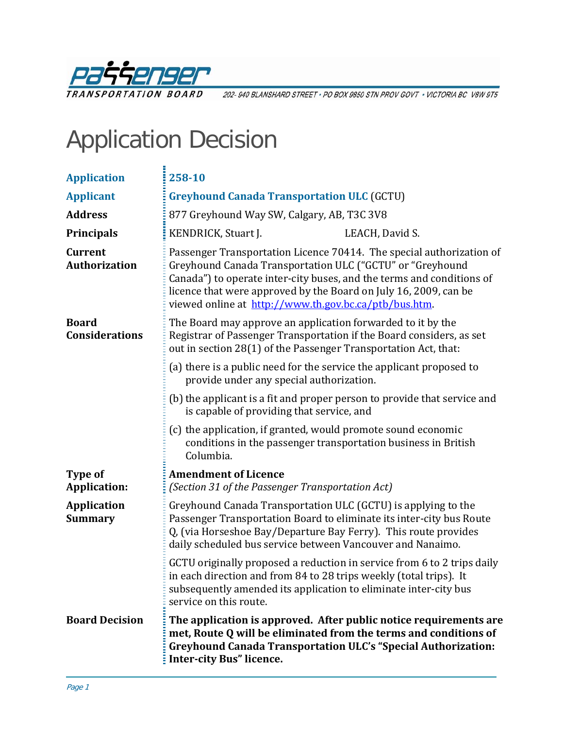

202-940 BLANSHARD STREET · PO BOX 9850 STN PROV GOVT · VICTORIA BC V8W 9T5

# Application Decision

| <b>Application</b>                     | 258-10                                                                                                                                                                                                                                                                                                                                  |                 |
|----------------------------------------|-----------------------------------------------------------------------------------------------------------------------------------------------------------------------------------------------------------------------------------------------------------------------------------------------------------------------------------------|-----------------|
| <b>Applicant</b>                       | <b>Greyhound Canada Transportation ULC (GCTU)</b>                                                                                                                                                                                                                                                                                       |                 |
| <b>Address</b>                         | 877 Greyhound Way SW, Calgary, AB, T3C 3V8                                                                                                                                                                                                                                                                                              |                 |
| <b>Principals</b>                      | KENDRICK, Stuart J.                                                                                                                                                                                                                                                                                                                     | LEACH, David S. |
| <b>Current</b><br><b>Authorization</b> | Passenger Transportation Licence 70414. The special authorization of<br>Greyhound Canada Transportation ULC ("GCTU" or "Greyhound<br>Canada") to operate inter-city buses, and the terms and conditions of<br>licence that were approved by the Board on July 16, 2009, can be<br>viewed online at http://www.th.gov.bc.ca/ptb/bus.htm. |                 |
| <b>Board</b><br><b>Considerations</b>  | The Board may approve an application forwarded to it by the<br>Registrar of Passenger Transportation if the Board considers, as set<br>out in section 28(1) of the Passenger Transportation Act, that:                                                                                                                                  |                 |
|                                        | (a) there is a public need for the service the applicant proposed to<br>provide under any special authorization.                                                                                                                                                                                                                        |                 |
|                                        | (b) the applicant is a fit and proper person to provide that service and<br>is capable of providing that service, and                                                                                                                                                                                                                   |                 |
|                                        | (c) the application, if granted, would promote sound economic<br>conditions in the passenger transportation business in British<br>Columbia.                                                                                                                                                                                            |                 |
| Type of                                | <b>Amendment of Licence</b>                                                                                                                                                                                                                                                                                                             |                 |
| <b>Application:</b>                    | (Section 31 of the Passenger Transportation Act)                                                                                                                                                                                                                                                                                        |                 |
| <b>Application</b><br><b>Summary</b>   | Greyhound Canada Transportation ULC (GCTU) is applying to the<br>Passenger Transportation Board to eliminate its inter-city bus Route<br>Q, (via Horseshoe Bay/Departure Bay Ferry). This route provides<br>daily scheduled bus service between Vancouver and Nanaimo.                                                                  |                 |
|                                        | GCTU originally proposed a reduction in service from 6 to 2 trips daily<br>in each direction and from 84 to 28 trips weekly (total trips). It<br>subsequently amended its application to eliminate inter-city bus<br>service on this route.                                                                                             |                 |
| <b>Board Decision</b>                  | The application is approved. After public notice requirements are<br>met, Route Q will be eliminated from the terms and conditions of<br><b>Greyhound Canada Transportation ULC's "Special Authorization:</b><br><b>Inter-city Bus" licence.</b>                                                                                        |                 |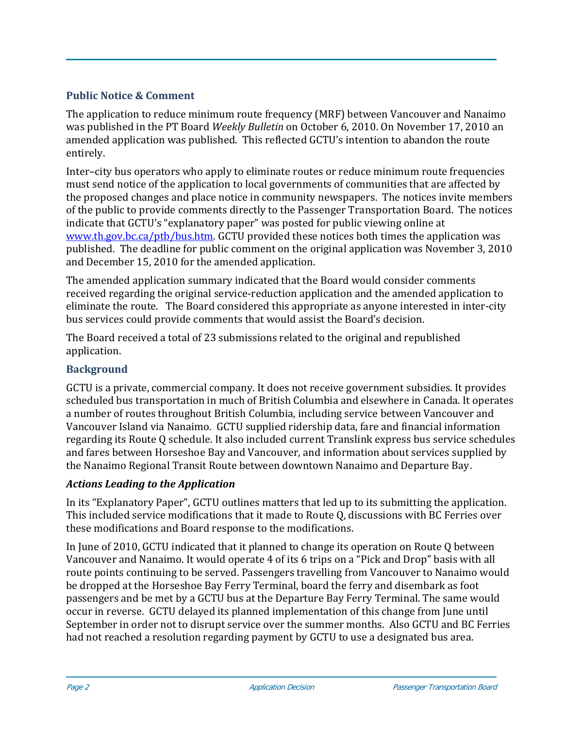# **Public Notice & Comment**

The application to reduce minimum route frequency (MRF) between Vancouver and Nanaimo was published in the PT Board *Weekly Bulletin* on October 6, 2010. On November 17, 2010 an amended application was published. This reflected GCTU's intention to abandon the route entirely.

Inter–city bus operators who apply to eliminate routes or reduce minimum route frequencies must send notice of the application to local governments of communities that are affected by the proposed changes and place notice in community newspapers. The notices invite members of the public to provide comments directly to the Passenger Transportation Board. The notices indicate that GCTU's "explanatory paper" was posted for public viewing online at www.th.gov.bc.ca/ptb/bus.htm. GCTU provided these notices both times the application was [published. The deadline for pub](http://www.th.gov.bc.ca/ptb/bus.htm)lic comment on the original application was November 3, 2010 and December 15, 2010 for the amended application.

The amended application summary indicated that the Board would consider comments received regarding the original service-reduction application and the amended application to eliminate the route. The Board considered this appropriate as anyone interested in inter‐city bus services could provide comments that would assist the Board's decision.

The Board received a total of 23 submissions related to the original and republished application.

# **Background**

GCTU is a private, commercial company. It does not receive government subsidies. It provides scheduled bus transportation in much of British Columbia and elsewhere in Canada. It operates a number of routes throughout British Columbia, including service between Vancouver and Vancouver Island via Nanaimo*.* GCTU supplied ridership data, fare and financial information regarding its Route Q schedule. It also included current Translink express bus service schedules and fares between Horseshoe Bay and Vancouver, and information about services supplied by the Nanaimo Regional Transit Route between downtown Nanaimo and Departure Bay.

# *Actions Leading to the Application*

In its "Explanatory Paper", GCTU outlines matters that led up to its submitting the application. This included service modifications that it made to Route Q, discussions with BC Ferries over these modifications and Board response to the modifications.

In June of 2010, GCTU indicated that it planned to change its operation on Route Q between Vancouver and Nanaimo. It would operate 4 of its 6 trips on a "Pick and Drop" basis with all route points continuing to be served. Passengers travelling from Vancouver to Nanaimo would be dropped at the Horseshoe Bay Ferry Terminal, board the ferry and disembark as foot passengers and be met by a GCTU bus at the Departure Bay Ferry Terminal. The same would occur in reverse. GCTU delayed its planned implementation of this change from June until September in order not to disrupt service over the summer months. Also GCTU and BC Ferries had not reached a resolution regarding payment by GCTU to use a designated bus area.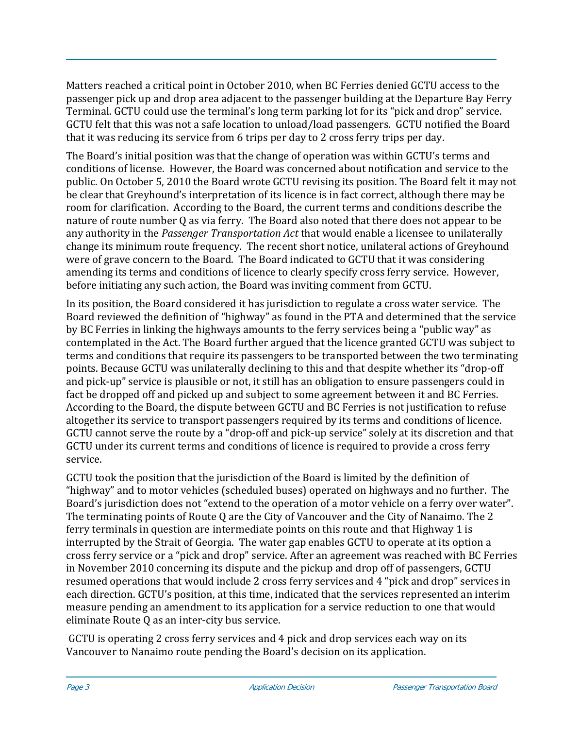Matters reached a critical point in October 2010, when BC Ferries denied GCTU access to the passenger pick up and drop area adjacent to the passenger building at the Departure Bay Ferry Terminal. GCTU could use the terminal's long term parking lot for its "pick and drop" service. GCTU felt that this was not a safe location to unload/load passengers. GCTU notified the Board that it was reducing its service from 6 trips per day to 2 cross ferry trips per day.

The Board's initial position was that the change of operation was within GCTU's terms and conditions of license. However, the Board was concerned about notification and service to the public. On October 5, 2010 the Board wrote GCTU revising its position. The Board felt it may not be clear that Greyhound's interpretation of its licence is in fact correct, although there may be room for clarification. According to the Board, the current terms and conditions describe the nature of route number Q as via ferry. The Board also noted that there does not appear to be any authority in the *Passenger Transportation Act* that would enable a licensee to unilaterally change its minimum route frequency. The recent short notice, unilateral actions of Greyhound were of grave concern to the Board. The Board indicated to GCTU that it was considering amending its terms and conditions of licence to clearly specify cross ferry service. However, before initiating any such action, the Board was inviting comment from GCTU.

In its position, the Board considered it has jurisdiction to regulate a cross water service. The Board reviewed the definition of "highway" as found in the PTA and determined that the service by BC Ferries in linking the highways amounts to the ferry services being a "public way" as contemplated in the Act. The Board further argued that the licence granted GCTU was subject to terms and conditions that require its passengers to be transported between the two terminating points. Because GCTU was unilaterally declining to this and that despite whether its "drop‐off and pick‐up" service is plausible or not, it still has an obligation to ensure passengers could in fact be dropped off and picked up and subject to some agreement between it and BC Ferries. According to the Board, the dispute between GCTU and BC Ferries is not justification to refuse altogether its service to transport passengers required by its terms and conditions of licence. GCTU cannot serve the route by a "drop‐off and pick‐up service" solely at its discretion and that GCTU under its current terms and conditions of licence is required to provide a cross ferry service.

GCTU took the position that the jurisdiction of the Board is limited by the definition of "highway" and to motor vehicles (scheduled buses) operated on highways and no further. The Board's jurisdiction does not "extend to the operation of a motor vehicle on a ferry over water". The terminating points of Route Q are the City of Vancouver and the City of Nanaimo. The 2 ferry terminals in question are intermediate points on this route and that Highway 1 is interrupted by the Strait of Georgia. The water gap enables GCTU to operate at its option a cross ferry service or a "pick and drop" service. After an agreement was reached with BC Ferries in November 2010 concerning its dispute and the pickup and drop off of passengers, GCTU resumed operations that would include 2 cross ferry services and 4 "pick and drop" services in each direction. GCTU's position, at this time, indicated that the services represented an interim measure pending an amendment to its application for a service reduction to one that would eliminate Route Q as an inter‐city bus service.

 GCTU is operating 2 cross ferry services and 4 pick and drop services each way on its Vancouver to Nanaimo route pending the Board's decision on its application.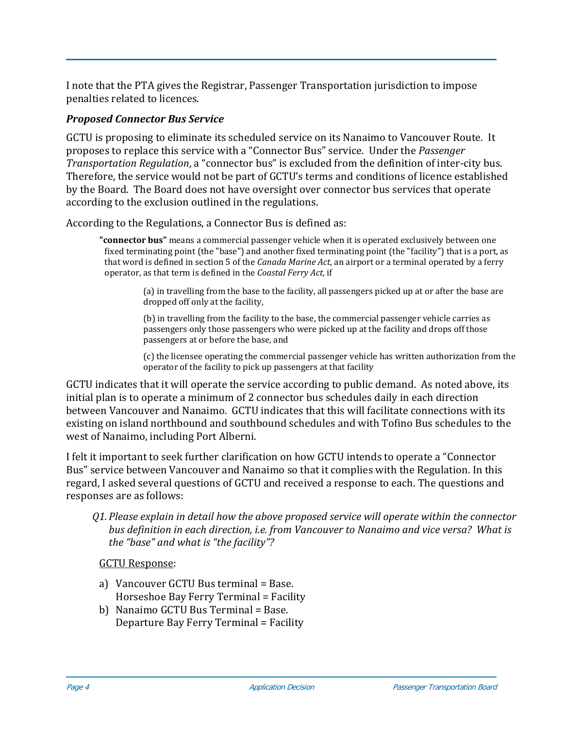I note that the PTA gives the Registrar, Passenger Transportation jurisdiction to impose penalties related to licences.

# *Proposed Connector Bus Service*

GCTU is proposing to eliminate its scheduled service on its Nanaimo to Vancouver Route. It proposes to replace this service with a "Connector Bus" service. Under the *Passenger Transportation Regulation*, a "connector bus" is excluded from the definition of inter‐city bus. Therefore, the service would not be part of GCTU's terms and conditions of licence established by the Board. The Board does not have oversight over connector bus services that operate according to the exclusion outlined in the regulations.

According to the Regulations, a Connector Bus is defined as:

**"connector bus"** means a commercial passenger vehicle when it is operated exclusively between one fixed terminating point (the "base") and another fixed terminating point (the "facility") that is a port, as that word is defined in section 5 of the *Canada Marine Act*, an airport or a terminal operated by a ferry operator, as that term is defined in the *Coastal Ferry Act*, if

> (a) in travelling from the base to the facility, all passengers picked up at or after the base are dropped off only at the facility,

(b) in travelling from the facility to the base, the commercial passenger vehicle carries as passengers only those passengers who were picked up at the facility and drops off those passengers at or before the base, and

(c) the licensee operating the commercial passenger vehicle has written authorization from the operator of the facility to pick up passengers at that facility

GCTU indicates that it will operate the service according to public demand. As noted above, its initial plan is to operate a minimum of 2 connector bus schedules daily in each direction between Vancouver and Nanaimo. GCTU indicates that this will facilitate connections with its existing on island northbound and southbound schedules and with Tofino Bus schedules to the west of Nanaimo, including Port Alberni.

I felt it important to seek further clarification on how GCTU intends to operate a "Connector Bus" service between Vancouver and Nanaimo so that it complies with the Regulation. In this regard, I asked several questions of GCTU and received a response to each. The questions and responses are as follows:

*Q1. Please explain in detail how the above proposed service will operate within the connector bus definition in each direction, i.e. from Vancouver to Nanaimo and vice versa? What is the "base" and what is "the facility"?*

GCTU Response:

- a) Vancouver GCTU Bus terminal = Base. Horseshoe Bay Ferry Terminal = Facility
- b) Nanaimo GCTU Bus Terminal = Base. Departure Bay Ferry Terminal = Facility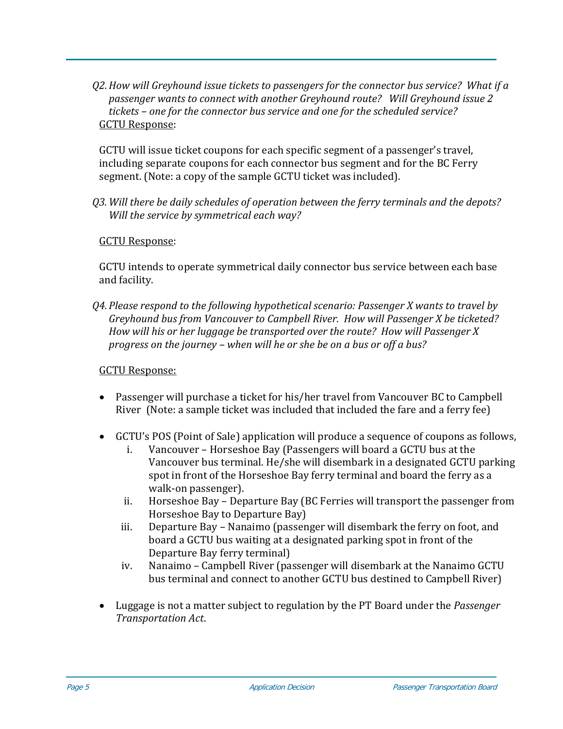*Q2.How will Greyhound issue tickets to passengers for the connector bus service? What if a s to connect with another Greyhound route? Will Greyhound issue 2 passenger want the connector bus service and one for the scheduled service? tickets – one for* GCTU Response:

GCTU will issue ticket coupons for each specific segment of a passenger's travel, ncluding separate coupons for each connector bus segment and for the BC Ferry i segment. (Note: a copy of the sample GCTU ticket was included).

*Q3. Will there be daily schedules of operation between the ferry terminals and the depots? Will the service by symmetrical each way?*

# GCTU Response:

CTU intends to operate symmetrical daily connector bus service between each base G and facility.

*Q4. Please respond to the following hypothetical scenario: Passenger X wants to travel by Greyhound bus from Vancouver to Campbell River. How will Passenger X be ticketed? How will his or her luggage be transported over the route? How will Passenger X progress on the journey – when will he or she be on a bus or off a bus?* 

# GCTU Response:

- Passenger will purchase a ticket for his/her travel from Vancouver BC to Campbell River (Note: a sample ticket was included that included the fare and a ferry fee)
- GCTU's POS (Point of Sale) application will produce a sequence of coupons as follows,
	- i. Vancouver Horseshoe Bay (Passengers will board a GCTU bus at the Vancouver bus terminal. He/she will disembark in a designated GCTU parking spot in front of the Horseshoe Bay ferry terminal and board the ferry as a walk‐on passenger).
	- ii. Horseshoe Bay Departure Bay (BC Ferries will transport the passenger from Horseshoe Bay to Departure Bay)
	- iii. Departure Bay Nanaimo (passenger will disembark the ferry on foot, and board a GCTU bus waiting at a designated parking spot in front of the Departure Bay ferry terminal)
	- iv. Nanaimo Campbell River (passenger will disembark at the Nanaimo GCTU bus terminal and connect to another GCTU bus destined to Campbell River)
- Luggage is not a matter subject to regulation by the PT Board under the *Passenger Transportation Act*.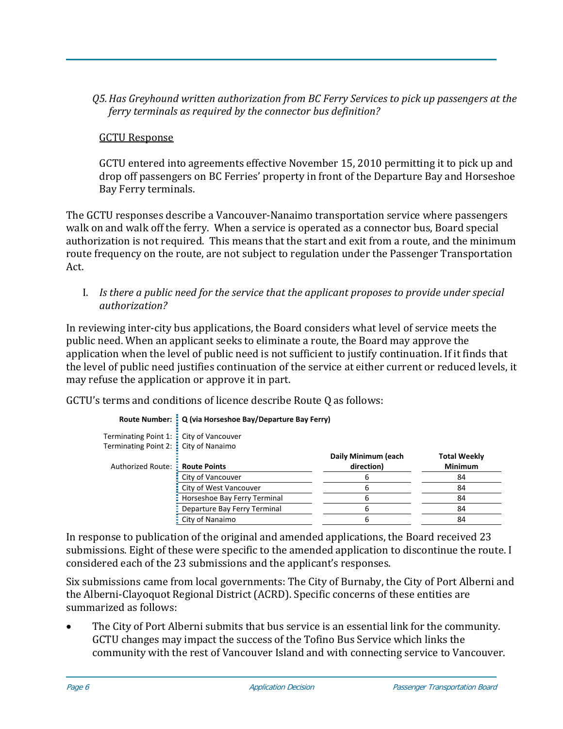## *Q5.Has Greyhound written authorization from BC Ferry Services to pick up passengers at the ferry terminals as required by the connector bus definition?*

# GCTU Response

GCTU entered into agreements effective November 15, 2010 permitting it to pick up and drop off passengers on BC Ferries' property in front of the Departure Bay and Horseshoe Bay Ferry terminals.

The GCTU responses describe a Vancouver‐Nanaimo transportation service where passengers walk on and walk off the ferry. When a service is operated as a connector bus, Board special authorization is not required. This means that the start and exit from a route, and the minimum route frequency on the route, are not subject to regulation under the Passenger Transportation Act.

I. *Is there a public need for the service that the applicant proposes to provide under special authorization?*

In reviewing inter-city bus applications, the Board considers what level of service meets the public need. When an applicant seeks to eliminate a route, the Board may approve the application when the level of public need is not sufficient to justify continuation. If it finds that the level of public need justifies continuation of the service at either current or reduced levels, it may refuse the application or approve it in part.

GCTU's terms and conditions of licence describe Route Q as follows:

| Terminating Point 1: : City of Vancouver<br>Terminating Point 2: City of Nanaimo |                              | Daily Minimum (each | <b>Total Weekly</b> |
|----------------------------------------------------------------------------------|------------------------------|---------------------|---------------------|
| Authorized Route: <b>E</b> Route Points                                          |                              | direction)          | <b>Minimum</b>      |
|                                                                                  | City of Vancouver            |                     | 84                  |
|                                                                                  | City of West Vancouver       |                     | 84                  |
|                                                                                  | Horseshoe Bay Ferry Terminal |                     | 84                  |
|                                                                                  | Departure Bay Ferry Terminal |                     | 84                  |
|                                                                                  | <b>E</b> City of Nanaimo     |                     | 84                  |

|  | Route Number: Q (via Horseshoe Bay/Departure Bay Ferry) |
|--|---------------------------------------------------------|

In response to publication of the original and amended applications, the Board received 23 submissions. Eight of these were specific to the amended application to discontinue the route. I considered each of the 23 submissions and the applicant's responses.

Six submissions came from local governments: The City of Burnaby, the City of Port Alberni and the Alberni‐Clayoquot Regional District (ACRD). Specific concerns of these entities are summarized as follows:

• The City of Port Alberni submits that bus service is an essential link for the community. GCTU changes may impact the success of the Tofino Bus Service which links the community with the rest of Vancouver Island and with connecting service to Vancouver.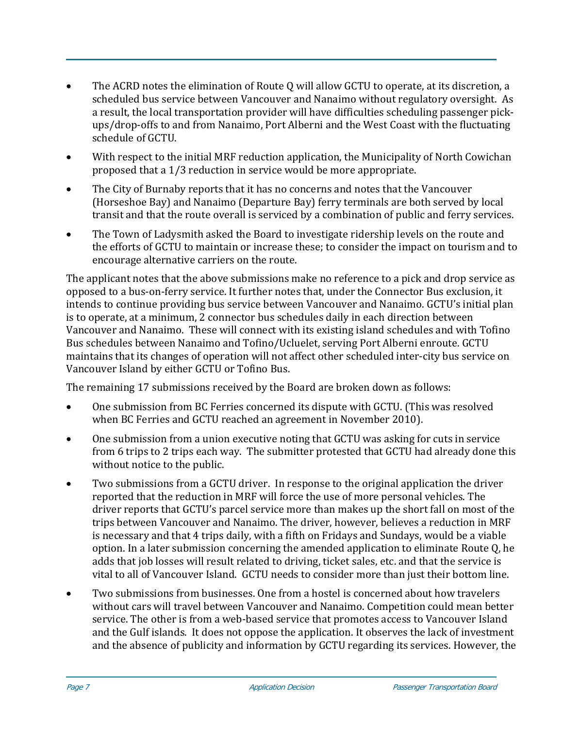- The ACRD notes the elimination of Route Q will allow GCTU to operate, at its discretion, a scheduled bus service between Vancouver and Nanaimo without regulatory oversight. As a result, the local transportation provider will have difficulties scheduling passenger pick‐ ups/drop‐offs to and from Nanaimo, Port Alberni and the West Coast with the fluctuating schedule of GCTU.
- With respect to the initial MRF reduction application, the Municipality of North Cowichan proposed that a 1/3 reduction in service would be more appropriate.
- The City of Burnaby reports that it has no concerns and notes that the Vancouver (Horseshoe Bay) and Nanaimo (Departure Bay) ferry terminals are both served by local transit and that the route overall is serviced by a combination of public and ferry services.
- The Town of Ladysmith asked the Board to investigate ridership levels on the route and the efforts of GCTU to maintain or increase these; to consider the impact on tourism and to encourage alternative carriers on the route.

The applicant notes that the above submissions make no reference to a pick and drop service as opposed to a bus‐on‐ferry service. It further notes that, under the Connector Bus exclusion, it intends to continue providing bus service between Vancouver and Nanaimo. GCTU's initial plan is to operate, at a minimum, 2 connector bus schedules daily in each direction between Vancouver and Nanaimo. These will connect with its existing island schedules and with Tofino Bus schedules between Nanaimo and Tofino/Ucluelet, serving Port Alberni enroute. GCTU maintains that its changes of operation will not affect other scheduled inter‐city bus service on Vancouver Island by either GCTU or Tofino Bus.

The remaining 17 submissions received by the Board are broken down as follows:

- One submission from BC Ferries concerned its dispute with GCTU. (This was resolved when BC Ferries and GCTU reached an agreement in November 2010).
- One submission from a union executive noting that GCTU was asking for cuts in service from 6 trips to 2 trips each way. The submitter protested that GCTU had already done this without notice to the public.
- Two submissions from a GCTU driver. In response to the original application the driver reported that the reduction in MRF will force the use of more personal vehicles. The driver reports that GCTU's parcel service more than makes up the short fall on most of the trips between Vancouver and Nanaimo. The driver, however, believes a reduction in MRF is necessary and that 4 trips daily, with a fifth on Fridays and Sundays, would be a viable option. In a later submission concerning the amended application to eliminate Route Q, he adds that job losses will result related to driving, ticket sales, etc. and that the service is vital to all of Vancouver Island. GCTU needs to consider more than just their bottom line.
- Two submissions from businesses. One from a hostel is concerned about how travelers without cars will travel between Vancouver and Nanaimo. Competition could mean better service. The other is from a web-based service that promotes access to Vancouver Island and the Gulf islands. It does not oppose the application. It observes the lack of investment and the absence of publicity and information by GCTU regarding its services. However, the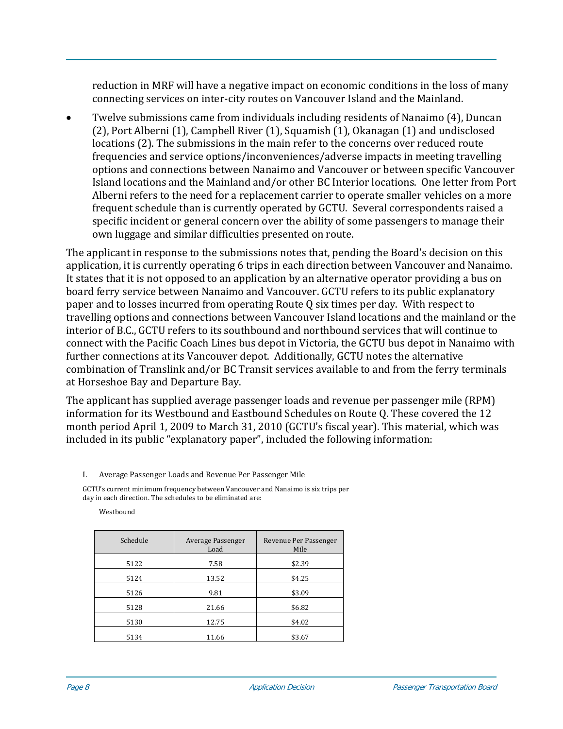reduction in MRF will have a negative impact on economic conditions in the loss of many connecting services on inter‐city routes on Vancouver Island and the Mainland.

• Twelve submissions came from individuals including residents of Nanaimo (4), Duncan (2), Port Alberni (1), Campbell River (1), Squamish (1), Okanagan (1) and undisclosed locations (2). The submissions in the main refer to the concerns over reduced route frequencies and service options/inconveniences/adverse impacts in meeting travelling options and connections between Nanaimo and Vancouver or between specific Vancouver Island locations and the Mainland and/or other BC Interior locations. One letter from Port Alberni refers to the need for a replacement carrier to operate smaller vehicles on a more frequent schedule than is currently operated by GCTU. Several correspondents raised a specific incident or general concern over the ability of some passengers to manage their own luggage and similar difficulties presented on route.

The applicant in response to the submissions notes that, pending the Board's decision on this application, it is currently operating 6 trips in each direction between Vancouver and Nanaimo. It states that it is not opposed to an application by an alternative operator providing a bus on board ferry service between Nanaimo and Vancouver. GCTU refers to its public explanatory paper and to losses incurred from operating Route Q six times per day. With respect to travelling options and connections between Vancouver Island locations and the mainland or the interior of B.C., GCTU refers to its southbound and northbound services that will continue to connect with the Pacific Coach Lines bus depot in Victoria, the GCTU bus depot in Nanaimo with further connections at its Vancouver depot. Additionally, GCTU notes the alternative combination of Translink and/or BC Transit services available to and from the ferry terminals at Horseshoe Bay and Departure Bay.

The applicant has supplied average passenger loads and revenue per passenger mile (RPM) information for its Westbound and Eastbound Schedules on Route Q. These covered the 12 month period April 1, 2009 to March 31, 2010 (GCTU's fiscal year). This material, which was included in its public "explanatory paper", included the following information:

I. Average Passenger Loads and Revenue Per Passenger Mile

GCTU's current minimum frequency between Vancouver and Nanaimo is six trips per day in each direction. The schedules to be eliminated are:

Westbound

| Schedule | Average Passenger<br>Load | Revenue Per Passenger<br>Mile |
|----------|---------------------------|-------------------------------|
| 5122     | 7.58                      | \$2.39                        |
| 5124     | 13.52                     | \$4.25                        |
| 5126     | 9.81                      | \$3.09                        |
| 5128     | 21.66                     | \$6.82                        |
| 5130     | 12.75                     | \$4.02                        |
| 5134     | 11.66                     | \$3.67                        |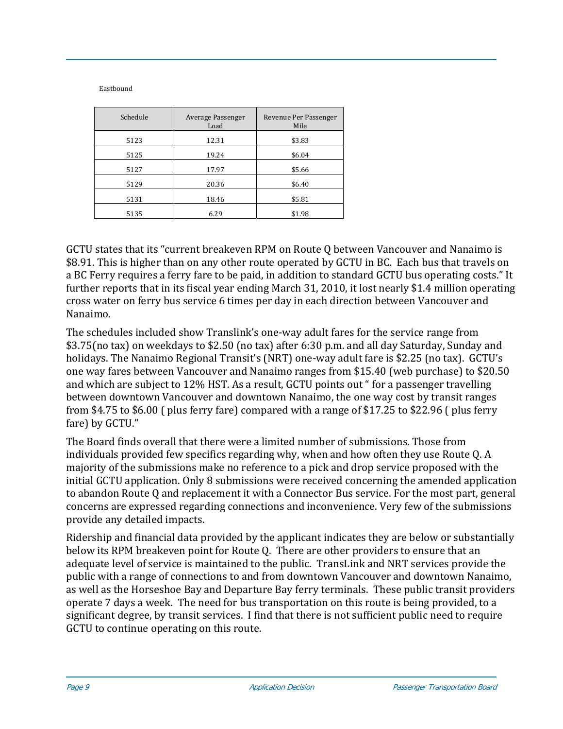Eastbound

| Schedule | Average Passenger<br>Load | Revenue Per Passenger<br>Mile |
|----------|---------------------------|-------------------------------|
| 5123     | 12.31                     | \$3.83                        |
| 5125     | 19.24                     | \$6.04                        |
| 5127     | 17.97                     | \$5.66                        |
| 5129     | 20.36                     | \$6.40                        |
| 5131     | 18.46                     | \$5.81                        |
| 5135     | 6.29                      | \$1.98                        |

GCTU states that its "current breakeven RPM on Route Q between Vancouver and Nanaimo is \$8.91. This is higher than on any other route operated by GCTU in BC. Each bus that travels on a BC Ferry requires a ferry fare to be paid, in addition to standard GCTU bus operating costs." It further reports that in its fiscal year ending March 31, 2010, it lost nearly \$1.4 million operating cross water on ferry bus service 6 times per day in each direction between Vancouver and Nanaimo.

The schedules included show Translink's one‐way adult fares for the service range from \$3.75(no tax) on weekdays to \$2.50 (no tax) after 6:30 p.m. and all day Saturday, Sunday and holidays. The Nanaimo Regional Transit's (NRT) one-way adult fare is \$2.25 (no tax). GCTU's one way fares between Vancouver and Nanaimo ranges from \$15.40 (web purchase) to \$20.50 and which are subject to 12% HST. As a result, GCTU points out " for a passenger travelling between downtown Vancouver and downtown Nanaimo, the one way cost by transit ranges from \$4.75 to \$6.00 ( plus ferry fare) compared with a range of \$17.25 to \$22.96 ( plus ferry fare) by GCTU."

The Board finds overall that there were a limited number of submissions. Those from individuals provided few specifics regarding why, when and how often they use Route Q. A majority of the submissions make no reference to a pick and drop service proposed with the initial GCTU application. Only 8 submissions were received concerning the amended application to abandon Route Q and replacement it with a Connector Bus service. For the most part, general concerns are expressed regarding connections and inconvenience. Very few of the submissions provide any detailed impacts.

Ridership and financial data provided by the applicant indicates they are below or substantially below its RPM breakeven point for Route Q. There are other providers to ensure that an adequate level of service is maintained to the public. TransLink and NRT services provide the public with a range of connections to and from downtown Vancouver and downtown Nanaimo, as well as the Horseshoe Bay and Departure Bay ferry terminals. These public transit providers operate 7 days a week. The need for bus transportation on this route is being provided, to a significant degree, by transit services. I find that there is not sufficient public need to require GCTU to continue operating on this route.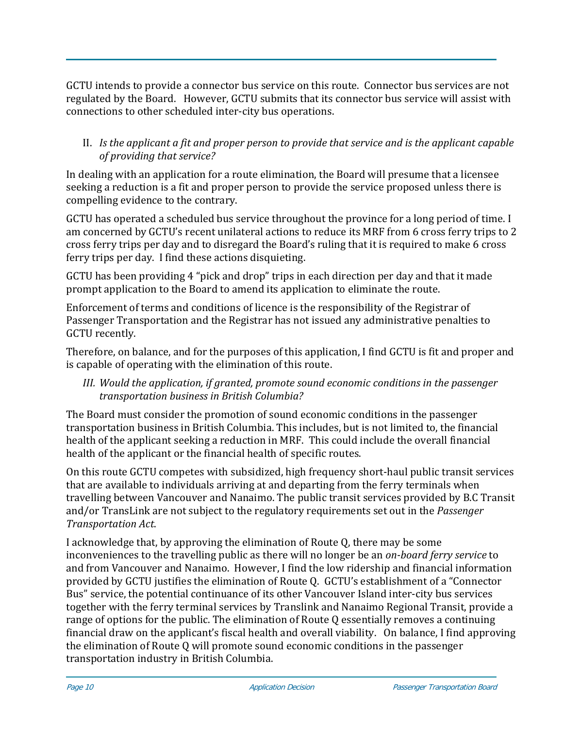GCTU intends to provide a connector bus service on this route. Connector bus services are not regulated by the Board. However, GCTU submits that its connector bus service will assist with connections to other scheduled inter-city bus operations.

# II. *I s the applicant a fit and proper person to provide that service and is the applicant capable of providing that service?*

In dealing with an application for a route elimination, the Board will presume that a licensee seeking a reduction is a fit and proper person to provide the service proposed unless there is compelling evidence to the contrary.

GCTU has operated a scheduled bus service throughout the province for a long period of time. I am concerned by GCTU's recent unilateral actions to reduce its MRF from 6 cross ferry trips to 2 cross ferry trips per day and to disregard the Board's ruling that it is required to make 6 cross ferry trips per day. I find these actions disquieting.

GCTU has been providing 4 "pick and drop" trips in each direction per day and that it made prompt application to the Board to amend its application to eliminate the route.

Enforcement of terms and conditions of licence is the responsibility of the Registrar of Passenger Transportation and the Registrar has not issued any administrative penalties to GCTU recently.

Therefore, on balance, and for the purposes of this application, I find GCTU is fit and proper and is capable of operating with the elimination of this route.

### *III. Would the application, if granted, promote sound economic conditions in the passenger transportation business in British Columbia?*

The Board must consider the promotion of sound economic conditions in the passenger transportation business in British Columbia. This includes, but is not limited to, the financial health of the applicant seeking a reduction in MRF. This could include the overall financial health of the applicant or the financial health of specific routes.

On this route GCTU competes with subsidized, high frequency short-haul public transit services that are available to individuals arriving at and departing from the ferry terminals when travelling between Vancouver and Nanaimo. The public transit services provided by B.C Transit and/or TransLink are not subject to the regulatory requirements set out in the *Passenger Transportation Act*.

I acknowledge that, by approving the elimination of Route Q, there may be some inconveniences to the travelling public as there will no longer be an *onboard ferry service* to and from Vancouver and Nanaimo. However, I find the low ridership and financial information provided by GCTU justifies the elimination of Route Q. GCTU's establishment of a "Connector Bus" service, the potential continuance of its other Vancouver Island inter‐city bus services together with the ferry terminal services by Translink and Nanaimo Regional Transit, provide a range of options for the public. The elimination of Route Q essentially removes a continuing financial draw on the applicant's fiscal health and overall viability. On balance, I find approving the elimination of Route Q will promote sound economic conditions in the passenger transportation industry in British Columbia.